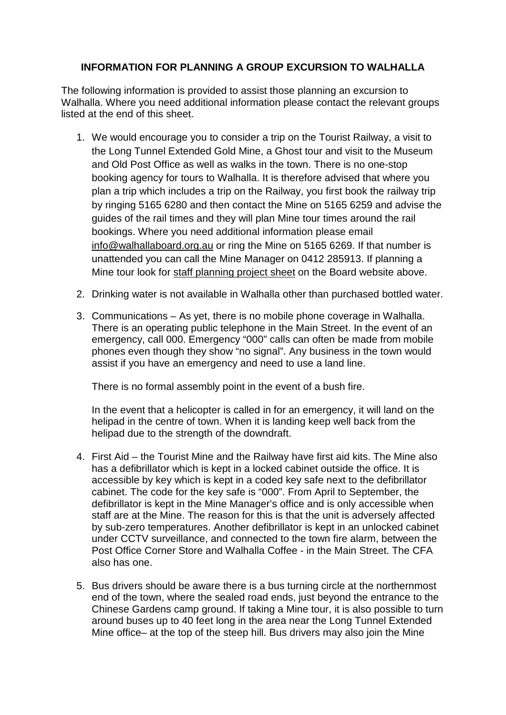## **INFORMATION FOR PLANNING A GROUP EXCURSION TO WALHALLA**

The following information is provided to assist those planning an excursion to Walhalla. Where you need additional information please contact the relevant groups listed at the end of this sheet.

- 1. We would encourage you to consider a trip on the Tourist Railway, a visit to the Long Tunnel Extended Gold Mine, a Ghost tour and visit to the Museum and Old Post Office as well as walks in the town. There is no one-stop booking agency for tours to Walhalla. It is therefore advised that where you plan a trip which includes a trip on the Railway, you first book the railway trip by ringing 5165 6280 and then contact the Mine on 5165 6259 and advise the guides of the rail times and they will plan Mine tour times around the rail bookings. Where you need additional information please email [info@walhallaboard.org.au](mailto:info@walhallaboard.org.au) or ring the Mine on 5165 6269. If that number is unattended you can call the Mine Manager on 0412 285913. If planning a Mine tour look for staff planning project sheet on the Board website above.
- 2. Drinking water is not available in Walhalla other than purchased bottled water.
- 3. Communications As yet, there is no mobile phone coverage in Walhalla. There is an operating public telephone in the Main Street. In the event of an emergency, call 000. Emergency "000" calls can often be made from mobile phones even though they show "no signal". Any business in the town would assist if you have an emergency and need to use a land line.

There is no formal assembly point in the event of a bush fire.

In the event that a helicopter is called in for an emergency, it will land on the helipad in the centre of town. When it is landing keep well back from the helipad due to the strength of the downdraft.

- 4. First Aid the Tourist Mine and the Railway have first aid kits. The Mine also has a defibrillator which is kept in a locked cabinet outside the office. It is accessible by key which is kept in a coded key safe next to the defibrillator cabinet. The code for the key safe is "000". From April to September, the defibrillator is kept in the Mine Manager's office and is only accessible when staff are at the Mine. The reason for this is that the unit is adversely affected by sub-zero temperatures. Another defibrillator is kept in an unlocked cabinet under CCTV surveillance, and connected to the town fire alarm, between the Post Office Corner Store and Walhalla Coffee - in the Main Street. The CFA also has one.
- 5. Bus drivers should be aware there is a bus turning circle at the northernmost end of the town, where the sealed road ends, just beyond the entrance to the Chinese Gardens camp ground. If taking a Mine tour, it is also possible to turn around buses up to 40 feet long in the area near the Long Tunnel Extended Mine office– at the top of the steep hill. Bus drivers may also join the Mine